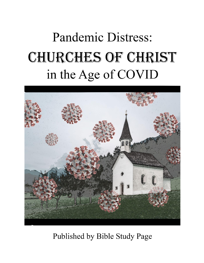# **Pandemic Distress:** CHURCHES OF CHRIST in the Age of COVID



Published by Bible Study Page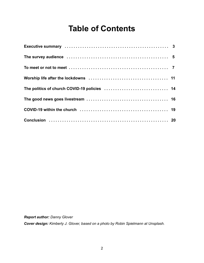# **Table of Contents**

| The survey audience contracts of the contracts of the survey and the survey audience of the survey of the survey of the survey of the survey of the survey of the survey of the survey of the survey of the survey of the surv |  |
|--------------------------------------------------------------------------------------------------------------------------------------------------------------------------------------------------------------------------------|--|
|                                                                                                                                                                                                                                |  |
|                                                                                                                                                                                                                                |  |
| The politics of church COVID-19 policies  14                                                                                                                                                                                   |  |
|                                                                                                                                                                                                                                |  |
|                                                                                                                                                                                                                                |  |
|                                                                                                                                                                                                                                |  |

*Report author: Danny Glover*

*Cover design: Kimberly J. Glover, based on a photo by Robin Spielmann at Unsplash.*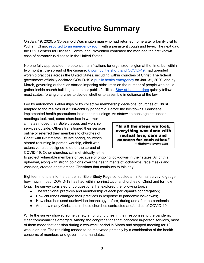# **Executive Summary**

On Jan. 19, 2020, a 35-year-old Washington man who had returned home after a family visit to Wuhan, China, reported to an [emergency](https://www.nejm.org/doi/full/10.1056/NEJMoa2001191) room with a persistent cough and fever. The next day, the U.S. Centers for Disease Control and Prevention confirmed the man had the first known case of coronavirus disease in the United States.

No one fully appreciated the potential ramifications for organized religion at the time, but within two months, the spread of the disease, known by the shorthand [COVID-19](https://www.who.int/docs/default-source/coronaviruse/situation-reports/20200211-sitrep-22-ncov.pdf?sfvrsn=fb6d49b1_2), had upended worship practices across the United States, including within churches of Christ. The federal government officially declared COVID-19 a public health [emergency](https://www.phe.gov/emergency/news/healthactions/phe/Pages/2019-nCoV.aspx) on Jan. 31, 2020, and by March, governing authorities started imposing strict limits on the number of people who could gather inside church buildings and other public facilities. [Stay-at-home](https://ballotpedia.org/State_emergency_health_orders_during_the_coronavirus_(COVID-19)_pandemic,_2021#Timeline_of_COVID-19_emergency_order_end_dates) orders quickly followed in most states, forcing churches to decide whether to assemble in defiance of the law.

Led by autonomous elderships or by collective membership decisions, churches of Christ adapted to the realities of a 21st-century pandemic. Before the lockdowns, Christians implemented health precautions inside their buildings. As statewide bans against indoor

meetings took root, some churches in warmer climates moved their Bible classes and worship services outside. Others transitioned their services online or referred their members to churches of Christ with livestreams. By late spring, churches started resuming in-person worship, albeit with extensive rules designed to deter the spread of COVID-19. Other churches still met virtually, either

"In all the steps we took, everything was done with mutual love, care and concern for each other." -- Alabama evangelist

to protect vulnerable members or because of ongoing lockdowns in their states. All of this upheaval, along with strong opinions over the health merits of lockdowns, face masks and vaccines, created angst among Christians that continues to this day.

Eighteen months into the pandemic, Bible Study Page conducted an informal survey to gauge how much impact COVID-19 has had within non-institutional churches of Christ and for how long. The survey consisted of 35 questions that explored the following topics:

- The traditional practices and membership of each participant's congregation;
- How churches changed their practices in response to pandemic lockdowns;
- How churches used audio/video technology before, during and after the pandemic;
- And how many Christians in those churches contracted and/or died of COVID-19.

While the survey showed some variety among churches in their responses to the pandemic, clear commonalities emerged. Among the congregations that canceled in-person services, most of them made that decision during a two-week period in March and stopped meeting for 10 weeks or less. Their thinking tended to be motivated primarily by a combination of the health concerns of members and government mandates.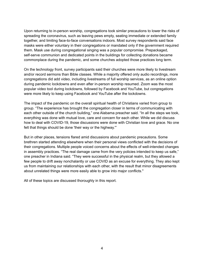Upon returning to in-person worship, congregations took similar precautions to lower the risks of spreading the coronavirus, such as leaving pews empty, seating immediate or extended family together, and limiting face-to-face conversations indoors. Most survey respondents said face masks were either voluntary in their congregations or mandated only if the government required them. Mask use during congregational singing was a popular compromise. Prepackaged, self-serve communion and dedicated points in the buildings for collecting donations became commonplace during the pandemic, and some churches adopted those practices long term.

On the technology front, survey participants said their churches were more likely to livestream and/or record sermons than Bible classes. While a majority offered only audio recordings, more congregations did add video, including livestreams of full worship services, as an online option during pandemic lockdowns and even after in-person worship resumed. Zoom was the most popular video tool during lockdowns, followed by Facebook and YouTube, but congregations were more likely to keep using Facebook and YouTube after the lockdowns.

The impact of the pandemic on the overall spiritual health of Christians varied from group to group. "The experience has brought the congregation closer in terms of communicating with each other outside of the church building," one Alabama preacher said. "In all the steps we took, everything was done with mutual love, care and concern for each other. While we did discuss how to deal with COVID-19, those discussions were done with Christian love and grace. No one felt that things should be done 'their way or the highway.'"

But in other places, tensions flared amid discussions about pandemic precautions. Some brethren started attending elsewhere when their personal views conflicted with the decisions of their congregations. Multiple people voiced concerns about the effects of well-intended changes in assembly practices. "The real damage came from the very policies intended to keep us safe," one preacher in Indiana said. "They were successful in the physical realm, but they allowed a few people to drift away nonchalantly or use COVID as an excuse for everything. They also kept us from maintaining our relationships with each other, with the result that minor disagreements about unrelated things were more easily able to grow into major conflicts."

All of these topics are discussed thoroughly in this report.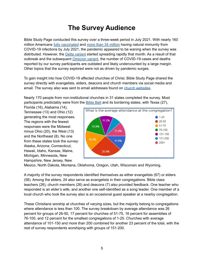## **The Survey Audience**

Bible Study Page conducted this survey over a three-week period in July 2021. With nearly 160 million Americans fully [vaccinated](https://usafacts.org/visualizations/covid-vaccine-tracker-states/) and more than 34 [million](https://www.acpjournals.org/doi/10.7326/M21-2721) having natural immunity from COVID-19 infections by July 2021, the pandemic appeared to be waning when the survey was distributed. However, the Delta [variant](https://www.cdc.gov/coronavirus/2019-ncov/variants/delta-variant.html) started spreading rapidly that month. As a result of that outbreak and the subsequent [Omicron](https://www.cdc.gov/coronavirus/2019-ncov/variants/omicron-variant.html) variant, the number of COVID-19 cases and deaths reported by our survey participants are outdated and likely undercounted by a large margin. Other topics that the survey explored were not as driven by pandemic surges.

To gain insight into how COVID-19 affected churches of Christ, Bible Study Page shared the survey directly with evangelists, elders, deacons and church members via social media and email. The survey also was sent to email addresses found on church [websites](https://biblestudypage.com/2002/01/01/churches-of-christ/#churches_of_Christ).

Nearly 170 people from non-institutional churches in 31 states completed the survey. Most participants predictably were from the **[Bible](https://worldpopulationreview.com/state-rankings/bible-belt-states) Belt** and its bordering states, with Texas (27),

Florida (16), Alabama (14), Tennessee (13) and Ohio (12) generating the most responses. The regions with the fewest responses were the Midwest minus Ohio (20), the West (13) and the Northeast (8). No one from these states took the survey: Alaska, Arizona, Connecticut, Hawaii, Idaho, Kansas, Maine, Michigan, Minnesota, New Hampshire, New Jersey, New



Mexico, North Dakota, Montana, Oklahoma, Oregon, Utah, Wisconsin and Wyoming.

A majority of the survey respondents identified themselves as either evangelists (67) or elders (58). Among the elders, 24 also serve as evangelists in their congregations. Bible class teachers (26), church members (26) and deacons (7) also provided feedback. One teacher who responded is an elder's wife, and another one self-identified as a song leader. One member of a local church who took the survey also is an occasional guest speaker at a nearby congregation.

These Christians worship at churches of varying sizes, but the majority belong to congregations where attendance is less than 100. The survey breakdown by average attendance was 26 percent for groups of 26-50, 17 percent for churches of 51-75, 16 percent for assemblies of 76-100, and 12 percent for the smallest congregations of 1-25. Churches with average attendance of 101-150 and more than 200 combined for another 23 percent of the total, with the rest of survey respondents worshiping with groups of 151-200.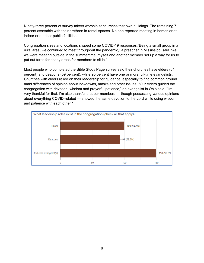Ninety-three percent of survey takers worship at churches that own buildings. The remaining 7 percent assemble with their brethren in rental spaces. No one reported meeting in homes or at indoor or outdoor public facilities.

Congregation sizes and locations shaped some COVID-19 responses."Being a small group in a rural area, we continued to meet throughout the pandemic," a preacher in Mississippi said. "As we were meeting outside in the summertime, myself and another member set up a way for us to put out tarps for shady areas for members to sit in."

Most people who completed the Bible Study Page survey said their churches have elders (64 percent) and deacons (59 percent), while 95 percent have one or more full-time evangelists. Churches with elders relied on their leadership for guidance, especially to find common ground amid differences of opinion about lockdowns, masks and other issues. "Our elders guided the congregation with devotion, wisdom and prayerful patience," an evangelist in Ohio said. "I'm very thankful for that. I'm also thankful that our members — though possessing various opinions about everything COVID-related — showed the same devotion to the Lord while using wisdom and patience with each other."

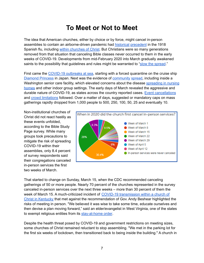#### **To Meet or Not to Meet**

The idea that American churches, either by choice or by force, might cancel in-person assemblies to contain an airborne-driven pandemic had [historical](https://www.patheos.com/blogs/anxiousbench/2020/03/influenza-pandemic-1918-churches/) [precedent](https://www.christianpost.com/voices/churches-closed-in-1918-too-heres-what-christians-can-learn-today.html) in the 1918 Spanish flu, including within [churches](https://christianchronicle.org/how-churches-of-christ-responded-when-the-1918-spanish-flu-killed-millions/) of Christ. But Christians were so many generations removed from that situation that canceling Bible classes never occurred to them in the early weeks of COVID-19. Developments from mid-February 2020 into March gradually awakened saints to the possibility that guidelines and rules might be warranted to "slow the [spread](https://www.cdc.gov/coronavirus/2019-ncov/downloads/Young_Mitigation_recommendations_and_resources_toolkit_03_HS.pdf)."

First came the [COVID-19](https://en.wikipedia.org/wiki/COVID-19_pandemic_on_cruise_ships) outbreaks at sea, starting with a forced quarantine on the cruise ship [Diamond](https://www.ncbi.nlm.nih.gov/pmc/articles/PMC7156812/) Princess in Japan. Next was the evidence of [community](https://www.cdc.gov/media/releases/2020/s0226-Covid-19-spread.html) [spread,](https://mynorthwest.com/1741025/washington-state-coronavirus-patient-dies/?) including inside a Washington senior care facility, which elevated concerns about the disease [spreading](https://www.ahcancal.org/News-and-Communications/Fact-Sheets/FactSheets/Timeline-COVID-Nursing-Homes.pdf) in nursing [homes](https://www.ahcancal.org/News-and-Communications/Fact-Sheets/FactSheets/Timeline-COVID-Nursing-Homes.pdf) and other indoor group settings. The early days of March revealed the aggressive and durable nature of COVID-19, as states across the country reported cases. Event [cancellations](https://www.news5cleveland.com/news/continuing-coverage/coronavirus/lets-revisit-the-very-first-gov-dewine-covid-19-update) and crowd [limitations](https://covid19.sccgov.org/sites/g/files/exjcpb766/files/03-09-20-Health-Officer-Order.pdf) followed. Over a matter of days, suggested or mandatory caps on mass gatherings rapidly dropped from 1,000 people to 500, 250, 100, 50, 25 and eventually 10.

Non-institutional churches of Christ did not react hastily as these events unfolded, according to the Bible Study Page survey. While many groups took precautions to mitigate the risk of spreading COVID-19 within their assemblies, only 8.4 percent of survey respondents said their congregations canceled in-person services the first two weeks of March.



That started to change on Sunday, March 15, when the CDC recommended canceling gatherings of 50 or more people. Nearly 70 percent of the churches represented in the survey canceled in-person services over the next three weeks – more than 30 percent of them the week of March 15. A much-criticized incident of COVID-19 [transmission](https://www.kentucky.com/news/coronavirus/article241366951.html) within a church of Christ in [Kentucky](https://www.kentucky.com/news/coronavirus/article241366951.html) that met against the recommendation of Gov. Andy Beshear highlighted the risks of meeting in person. "We believed it was wise to take some time, educate ourselves and then devise a plan moving forward," said an elder/evangelist in West Virginia, one of the states to exempt religious entities from its [stay-at-home](https://coronavirus-wvgovstatus-cdn.azureedge.net/STAY_AT_HOME_ORDER.pdf) order.

Despite the health threat posed by COVID-19 and government restrictions on meeting sizes, some churches of Christ remained reluctant to stop assembling. "We met in the parking lot for the first six weeks of lockdown, then transitioned back to being inside the building." A church in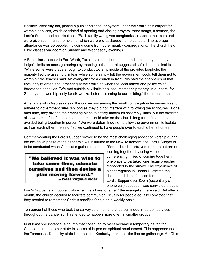Beckley, West Virginia, placed a pulpit and speaker system under their building's carport for worship services, which consisted of opening and closing prayers, three songs, a sermon, the Lord's Supper and contributions. "Each family was given songbooks to keep in their cars and were given communion emblems, which were pre-packaged," an elder said. The average attendance was 55 people, including some from other nearby congregations. The church held Bible classes via Zoom on Sunday and Wednesday evenings.

A Bible class teacher in Fort Worth, Texas, said the church he attends abided by a county judge's limits on mass gatherings by meeting outside or at suggested safe distances inside. "While some were brave enough to conduct worship inside of the provided loophole, the majority fled the assembly in fear, while some simply felt the government could tell them not to worship," the teacher said. An evangelist for a church in Kentucky said the shepherds of that flock only relented about meeting at their building when the local mayor and police chief threatened penalties. "We met outside city limits at a local member's property, in our cars, for Sunday a.m. worship, only for six weeks, before returning to our building," the preacher said.

An evangelist in Nebraska said the consensus among the small congregation he serves was to adhere to government rules "so long as they did not interfere with following the scriptures." For a brief time, they divided their meeting place to satisfy maximum assembly limits, but the brethren also were mindful of the toll the pandemic could take on the church long term if members avoided being together in person. "We were determined not to allow the government to isolate us from each other," he said, "so we continued to have people over to each other's homes."

Commemorating the Lord's Supper proved to be the most challenging aspect of worship during the lockdown phase of the pandemic. As instituted in the New Testament, the Lord's Supper is to be conducted when Christians gather in person. "Some churches strayed from the pattern of

"We believed it was wise to take some time, educate ourselves and then devise a plan moving forward." -- West Virginia elder

'coming together' by using video conferencing in lieu of coming together in one place to partake," one Texas preacher responded to the survey. The experience of a congregation in Florida illustrated the dilemma. "I didn't feel comfortable doing the Lord's Supper over Zoom (essentially a phone call) because I was convicted that the

Lord's Supper is a group activity when we all are together," the evangelist there said. But after a month, the church decided to facilitate communion virtually for people equally convicted that they needed to remember Christ's sacrifice for sin on a weekly basis.

Ten percent of those who took the survey said their churches continued in-person services throughout the pandemic. This tended to happen more often in smaller groups.

In at least one instance, a church that continued to meet became a temporary haven for Christians from another state in search of in-person spiritual nourishment. This happened near the Tennessee-Kentucky state line because Kentucky took a harder line on gatherings. An Ohio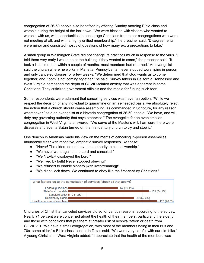congregation of 26-50 people also benefited by offering Sunday morning Bible class and worship during the height of the lockdown. "We were blessed with visitors who wanted to worship with us, with opportunities to encourage Christians from other congregations who were not meeting at all, and with a highly unified membership," the preacher said. "Disagreements were minor and consisted mostly of questions of how many extra precautions to take."

A small group in Washington State did not change its practices much in response to the virus. "I told them very early I would be at the building if they wanted to come," the preacher said. "It took a little time, but within a couple of months, most members had returned." An evangelist said the church where he works in Marietta, Pennsylvania, never stopped worshiping in person and only canceled classes for a few weeks. "We determined that God wants us to come together, and Zoom is not coming together," he said. Survey takers in California, Tennessee and West Virginia bemoaned the depth of COVID-related anxiety that was apparent in some Christians. They criticized government officials and the media for fueling such fear.

Some respondents were adamant that canceling services was never an option. "While we respect the decision of any individual to quarantine on an as-needed basis, we absolutely reject the notion that a church should cease assembling, as commanded in Scripture, for any reason whatsoever," said an evangelist at a Nevada congregation of 26-50 people. "We have, and will, defy any governing authority that says otherwise." The evangelist for an even smaller congregation in West Virginia answered: "We serve at the Master's will. I am sure there were diseases and events Satan turned on the first-century church to try and stop it."

One deacon in Arkansas made his view on the merits of canceling in-person assemblies abundantly clear with repetitive, emphatic survey responses like these:

- "Never! The elders do not have the authority to cancel worship."
- "We never went against the Lord and canceled."
- "We NEVER disobeyed the Lord!"
- "We lived by faith! Never stopped obeying!"
- "We refused to enable sinners [with livestreaming]!"
- "We didn't lock down. We continued to obey like the first-century Christians."



Churches of Christ that canceled services did so for various reasons, according to the survey. Nearly 71 percent were concerned about the health of their members, particularly the elderly and those with conditions that put them at greater risk of hospitalization or death from COVID-19. "We have a small congregation, with most of the members being in their 60s and 70s, some older," a Bible class teacher in Texas said. "We were very careful with our old folks." A young Christian in West Virginia added: "I appreciate that the health of the members was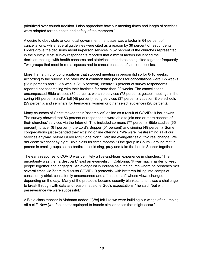prioritized over church tradition. I also appreciate how our meeting times and length of services were adapted for the health and safety of the members."

A desire to obey state and/or local government mandates was a factor in 64 percent of cancellations, while federal guidelines were cited as a reason by 39 percent of respondents. Elders drove the decisions about in-person services in 52 percent of the churches represented in the survey. Most survey respondents reported that a mix of factors influenced the decision-making, with health concerns and state/local mandates being cited together frequently. Two groups that meet in rental spaces had to cancel because of landlord policies.

More than a third of congregations that stopped meeting in person did so for 6-10 weeks, according to the survey. The other most common time periods for cancellations were 1-5 weeks (23.5 percent) and 11-15 weeks (21.5 percent). Nearly 13 percent of survey respondents reported not assembling with their brethren for more than 20 weeks. The cancellations encompassed Bible classes (89 percent), worship services (78 percent), gospel meetings in the spring (48 percent) and/or fall (45 percent), song services (37 percent), vacation Bible schools (29 percent), and seminars for teenagers, women or other select audiences (20 percent).

Many churches of Christ moved their "assemblies" online as a result of COVID-19 lockdowns. The survey showed that 83 percent of respondents were able to join one or more aspects of their churches' services via the Internet. This included sermons (77 percent), Bible studies (65 percent), prayer (61 percent), the Lord's Supper (51 percent) and singing (49 percent). Some congregations just expanded their existing online offerings. "We were livestreaming all of our services anyway [before COVID-19]," one North Carolina evangelist said. "No real change. We did Zoom Wednesday night Bible class for three months." One group in South Carolina met in person in small groups so the brethren could sing, pray and take the Lord's Supper together.

The early response to COVID was definitely a live-and-learn experience in churches. "The uncertainty was the hardest part," said an evangelist in California. "It was much harder to keep people together and engaged." An evangelist in Indiana said the church where he preaches met several times via Zoom to discuss COVID-19 protocols, with brethren falling into camps of consistently strict, consistently unconcerned and a "middle half" whose views changed depending on the day. "Many of the protocols became security blankets, and it was a challenge to break through with data and reason, let alone God's expectations," he said, "but with perseverance we were successful."

A Bible class teacher in Alabama added: "[We] felt like we were building our wings after jumping off a cliff. Now [we] feel better equipped to handle similar crises that might occur."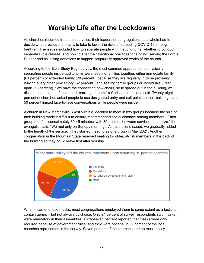## **Worship Life after the Lockdowns**

As churches resumed in-person services, their leaders or congregations as a whole had to decide what precautions, if any, to take to lower the risks of spreading COVID-19 among brethren. The issues included how to separate people within auditoriums, whether to conduct separate Bible classes, and how to alter their traditional practices for singing, serving the Lord's Supper and collecting donations to support scripturally approved works of the church.

According to the Bible Study Page survey, the most common approaches to physically separating people inside auditoriums were: seating families together, either immediate family (61 percent) or extended family (29 percent), because they are regularly in close proximity; leaving every other pew empty (62 percent); and seating family groups or individuals 6 feet apart (58 percent). "We have the connecting pew chairs, so to spread out in the building, we disconnected some of those and rearranged them," a Christian in Indiana said. Twenty-eight percent of churches asked people to use designated entry and exit points to their buildings, and 50 percent limited face-to-face conversations while people were inside.

A church in New Martinsville, West Virginia, decided to meet in two groups because the size of their building made it difficult to ensure recommended social distance among members. "Each group met for approximately 30-45 minutes, with 30 minutes between services to sanitize," the evangelist said. "We met only on Sunday mornings. As restrictions eased, we gradually added to the length of the service." They started meeting as one group in May 2021. Another congregation in the Mountain State reserved seating for older, at-risk members in the back of the building so they could leave first after worship.



When it came to face masks, most congregations employed them to some extent as a tactic to contain germs – but not always by choice. Only 24 percent of survey respondents said masks were mandatory in their assemblies. Thirty-seven percent reported that masks were only required because of government rules, and they were optional in 32 percent of the local churches represented in the survey. Seven percent of the churches had no mask policy.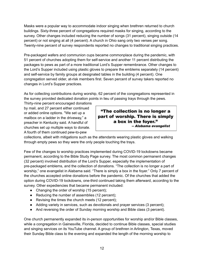Masks were a popular way to accommodate indoor singing when brethren returned to church buildings. Sixty-three percent of congregations required masks for singing, according to the survey. Other changes included reducing the number of songs (31 percent), singing outside (14 percent) or not singing at all (4 percent). A church in Ohio sang only two verses per song. Twenty-nine percent of survey respondents reported no changes to traditional singing practices.

Pre-packaged wafers and communion cups became commonplace during the pandemic, with 51 percent of churches adopting them for self-service and another 11 percent distributing the packages to pews as part of a more traditional Lord's Supper remembrance. Other changes to the Lord's Supper included using plastic gloves to prepare the emblems separately (14 percent) and self-service by family groups at designated tables in the building (4 percent). One congregation served older, at-risk members first. Seven percent of survey takers reported no changes in Lord's Supper practices.

As for collecting contributions during worship, 62 percent of the congregations represented in the survey provided dedicated donation points in lieu of passing trays through the pews.

Thirty-nine percent encouraged donations by mail, and 27 percent either continued or added online options. "We set up a mailbox on a ladder in the driveway," a preacher in Kentucky said. A handful of churches set up multiple ways to donate. A fourth of them continued pew-to-pew

"The collection is no longer a part of worship. There is simply a box in the fover." -- Alabama evangelist

collections, albeit with mitigations such as the attendants wearing plastic gloves and walking through empty pews so they were the only people touching the trays.

Few of the changes to worship practices implemented during COVID-19 lockdowns became permanent, according to the Bible Study Page survey. The most common permanent changes (32 percent) involved distribution of the Lord's Supper, especially the implementation of pre-packaged emblems, and the collection of donations. "The collection is no longer a part of worship," one evangelist in Alabama said. "There is simply a box in the foyer." Only 7 percent of the churches accepted online donations before the pandemic. Of the churches that added the option during COVID-19 lockdowns, one-third continued taking them afterward, according to the survey. Other expediencies that became permanent included:

- Changing the order of worship (15 percent);
- Reducing the number of assemblies (12 percent);
- Revising the times the church meets (12 percent);
- Adding variety in services, such as devotionals and prayer services (3 percent);
- And reversing the order of Sunday morning worship and Bible class (3 percent).

One church permanently expanded its in-person opportunities for worship and/or Bible classes, while a congregation in Gainesville, Florida, decided to continue Bible classes, special studies and singing services on its YouTube channel. A group of brethren in Arlington, Texas, moved their Sunday Bible class to the evening and expanded the length of the morning worship to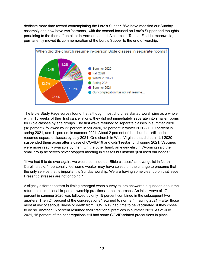dedicate more time toward contemplating the Lord's Supper. "We have modified our Sunday assembly and now have two 'sermons,' with the second focused on Lord's Supper and thoughts pertaining to the theme," an elder in Vermont added. A church in Tampa, Florida, meanwhile, permanently moved its commemoration of the Lord's Supper to the end of worship.



The Bible Study Page survey found that although most churches started worshiping as a whole within 15 weeks of their first cancellations, they did not immediately separate into smaller rooms for Bible classes by age groups. The first wave returned to separate classes in summer 2020 (18 percent), followed by 22 percent in fall 2020, 13 percent in winter 2020-21, 19 percent in spring 2021, and 11 percent in summer 2021. About 2 percent of the churches still hadn't resumed separate classes by July 2021. One church in West Virginia that did so in fall 2020 suspended them again after a case of COVID-19 and didn't restart until spring 2021. Vaccines were more readily available by then. On the other hand, an evangelist in Wyoming said the small group he serves never stopped meeting in classes but instead "just used our heads."

"If we had it to do over again, we would continue our Bible classes," an evangelist in North Carolina said. "I personally feel some weaker may have seized on the change to presume that the only service that is important is Sunday worship. We are having some cleanup on that issue. Present distresses are not ongoing."

A slightly different pattern in timing emerged when survey takers answered a question about the return to all traditional in-person worship practices in their churches. An initial wave of 17 percent in summer 2020 was followed by only 15 percent combined in the subsequent two quarters. Then 24 percent of the congregations "returned to normal" in spring 2021 – after those most at risk of serious illness or death from COVID-19 had time to be vaccinated, if they chose to do so. Another 16 percent resumed their traditional practices in summer 2021. As of July 2021, 15 percent of the congregations still had some COVID-related precautions in place.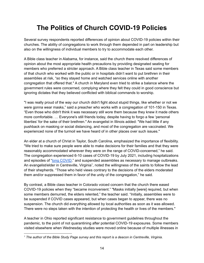## **The Politics of Church COVID-19 Policies**

Several survey respondents reported differences of opinion about COVID-19 policies within their churches. The ability of congregations to work through them depended in part on leadership but also on the willingness of individual members to try to accommodate each other.

A Bible class teacher in Alabama, for instance, said the church there resolved differences of opinion about the most appropriate health precautions by providing designated seating for members who preferred a stricter approach. A Bible class teacher in Texas said some members of that church who worked with the public or in hospitals didn't want to put brethren in their assemblies at risk, "so they stayed home and watched services online with another congregation that offered that." A church in Maryland even tried to strike a balance where the government rules were concerned, complying where they felt they could in good conscience but ignoring dictates that they believed conflicted with biblical commands to worship.

"I was really proud of the way our church didn't fight about stupid things, like whether or not we were gonna wear masks," said a preacher who works with a congregation of 101-150 in Texas. "Even those who didn't think it was necessary still wore them because they knew it made others more comfortable. … Everyone's still friends today, despite having to forgo a few 'personal liberties' for the sake of their brethren." An evangelist in Illinois added: "We had little if any pushback on masking or social distancing, and most of the congregation are vaccinated. We experienced none of the turmoil we have heard of in other places over such issues."

An elder at a church of Christ in Taylor, South Carolina, emphasized the importance of flexibility. "We tried to make sure people were able to make decisions for their families and that they were reasonably accommodated wherever they were on the range of COVID-concerned," he said. The congregation experienced 6-10 cases of COVID-19 by July 2021, including hospitalizations and episodes of "long [COVID,](https://www.cdc.gov/coronavirus/2019-ncov/long-term-effects/index.html?CDC_AA_refVal=https%3A%2F%2Fwww.cdc.gov%2Fcoronavirus%2F2019-ncov%2Flong-term-effects.html)" and suspended assemblies as necessary to manage outbreaks. An evangelist/elder in Centreville, Virginia<sup>1</sup>, noted the willingness of the saints to follow the lead of their shepherds. "Those who held views contrary to the decisions of the elders moderated them and/or suppressed them in favor of the unity of the congregation," he said.

By contrast, a Bible class teacher in Colorado voiced concern that the church there eased COVID-19 policies when they "became inconvenient." "Masks initially [were] required, but when some members demurred, the elders relented," the teacher said. "Initially, assemblies were to be suspended if COVID cases appeared, but when cases began to appear, there was no suspension. The church did everything allowed by local authorities as soon as it was allowed. There were no steps taken with the intention of protecting the health or lives of the members."

A teacher in Ohio reported significant resistance to government guidelines throughout the pandemic, to the point of not quarantining after potential COVID-19 exposures. Some members visited elsewhere when Wednesday studies were moved online because of multiple illnesses in

*<sup>1</sup> The author of the Bible Study Page survey and this report is a deacon in Centreville, Virginia.*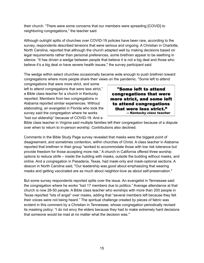their church. "There were some concerns that our members were spreading [COVID] to neighboring congregations," the teacher said.

Although outright splits of churches over COVID-19 policies have been rare, according to the survey, respondents described tensions that were serious and ongoing. A Christian in Charlotte, North Carolina, reported that although the church adapted well by making decisions based on legal requirements rather than personal preferences, some brethren appear to be seething in silence. "It has driven a wedge between people that believe it is not a big deal and those who believe it's a big deal or have severe health issues," the survey participant said.

The wedge within select churches occasionally became wide enough to push brethren toward congregations where more people share their views on the pandemic. "Some left to attend

congregations that were more strict, and some left to attend congregations that were less strict," a Bible class teacher for a church in Kentucky reported. Members from two congregations in Alabama reported similar experiences. Without elaborating, an evangelist in Florida who took the survey said the congregation where he works "lost our eldership" because of COVID-19. And a

"Some left to attend congregations that were more strict, and some left to attend congregations that were less strict." -- Kentucky class teacher

Bible class teacher in Virginia said multiple families left their congregation because of a dispute over when to return to in-person worship. Contributions also declined.

Comments in the Bible Study Page survey revealed that masks were the biggest point of disagreement, and sometimes contention, within churches of Christ. A class teacher in Alabama reported that brethren in their group "worked to accommodate those with low risk tolerance but provide freedom for those accepting more risk." A church in California offered three worship options to reduce strife – inside the building with masks, outside the building without masks, and online. And a congregation in Pasadena, Texas, had mask-only and mask-optional sections. A deacon in North Carolina said, "Our leadership was.good about emphasizing that wearing masks and getting vaccinated are as much about neighbor-love as about self-preservation."

But some survey respondents reported splits over the issue. An evangelist in Tennessee said the congregation where he works "lost 17 members due to politics." Average attendance at that church is now 26-50 people. A Bible class teacher who worships with more than 200 people in Texas reported "lots of angst" over masks, adding that "several members left because they felt their voices were not being heard." The spiritual challenge created by pieces of fabric was evident in this comment by a Christian in Tennessee, whose congregation periodically revised its masking policy: "I do not envy the elders because they had to make extremely hard decisions that someone would be mad at no matter what the decision was."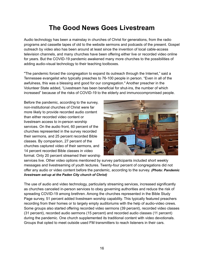#### **The Good News Goes Livestream**

Audio technology has been a mainstay in churches of Christ for generations, from the radio programs and cassette tapes of old to the website sermons and podcasts of the present. Gospel outreach by video also has been around at least since the invention of local cable-access television channels, and many churches have been offering either live or recorded video online for years. But the COVID-19 pandemic awakened many more churches to the possibilities of adding audio-visual technology to their teaching toolboxes.

"The pandemic forced the congregation to expand its outreach through the Internet," said a Tennessee evangelist who typically preaches to 76-100 people in person. "Even in all of the awfulness, this was a blessing and good for our congregation." Another preacher in the Volunteer State added, "Livestream has been beneficial for shut-ins, the number of which increased" because of the risks of COVID-19 to the elderly and immunocompromised people.

Before the pandemic, according to the survey, non-institutional churches of Christ were far more likely to provide recorded audio content than either recorded video content or livestream access to in-person worship services. On the audio front, 60 percent of the churches represented in the survey recorded their sermons, and 25 percent recorded Bible classes. By comparison, 27 percent of the churches captured video of their sermons, and 14 percent recorded Bible classes in video format. Only 20 percent streamed their worship



services live. Other video options mentioned by survey participants included short weekly messages and livestreaming of youth lectures. Twenty-four percent of congregations did not offer any audio or video content before the pandemic, according to the survey. *(Photo: Pandemic livestream set-up at the Paden City church of Christ)*

The use of audio and video technology, particularly streaming services, increased significantly as churches canceled in-person services to obey governing authorities and reduce the risk of spreading COVID-19 among brethren. Among the churches represented in the Bible Study Page survey, 51 percent added livestream worship capability. This typically featured preachers recording from their homes or to largely empty auditoriums with the help of audio-video crews. Some groups also started offering recorded video sermons (39 percent), recorded video classes (31 percent), recorded audio sermons (15 percent) and recorded audio classes (11 percent) during the pandemic. One church supplemented its traditional content with video devotionals. Groups that opted to meet outside used FM transmitters to reach listeners in their cars.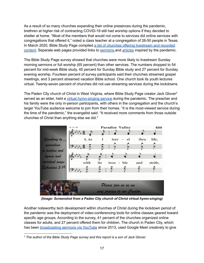As a result of so many churches expanding their online presences during the pandemic, brethren at higher risk of contracting COVID-19 still had worship options if they decided to shelter at home. "Most of the members that would not come to services did online services with congregations that offered it," noted a class teacher at a congregation of 26-50 people in Texas. In March 2020, Bible Study Page compiled a list of churches offering [livestream](https://biblestudypage.com/2020/03/18/binge-the-bible-during-coronavirus/) and recorded [content](https://biblestudypage.com/2020/03/18/binge-the-bible-during-coronavirus/). Separate web pages provided links to [sermons.](https://biblestudypage.com/2020/03/22/an-outbreak-of-coronavirus-sermons/)and [articles](https://biblestudypage.com/2020/03/31/coronavirus-lessons-to-learn/) inspired by the pandemic.

The Bible Study Page survey showed that churches were more likely to livestream Sunday morning sermons or full worship (65 percent) than other services. The numbers dropped to 54 percent for mid-week Bible study, 45 percent for Sunday Bible study and 27 percent for Sunday evening worship. Fourteen percent of survey participants said their churches streamed gospel meetings, and 3 percent streamed vacation Bible school. One church took its youth lectures virtual. Twenty-seven percent of churches did not use streaming services during the lockdowns.

The Paden City church of Christ in West Virginia, where Bible Study Page creator Jack Glover<sup>2</sup> served as an elder, held a virtual [hymn-singing](https://www.youtube.com/watch?v=pC53eDtsLfU) service during the pandemic. The preacher and his family were the only in-person participants, with others in the congregation and the church's larger YouTube audience welcome to join from their homes. "It is the most-viewed service during the time of the pandemic," the evangelist said. "It received more comments from those outside churches of Christ than anything else we did."



*(Image: Screenshot from a Paden City church of Christ virtual hymn-singing)*

Another noteworthy tech development within churches of Christ during the lockdown period of the pandemic was the deployment of video-conferencing tools for online classes geared toward specific age groups. According to the survey, 41 percent of the churches organized online classes for adults, and 27 percent offered them for children. The church in Paden City, which has been **[broadcasting](https://www.youtube.com/c/PadenCityChurchOfChrist/) sermons via YouTube** since 2013, used Google Meet creatively to give

*<sup>2</sup> The author of the Bible Study Page survey and this report is a son of Jack Glover.*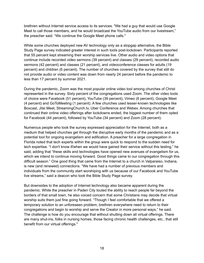brethren without Internet service access to its services. "We had a guy that would use Google Meet to call those members, and he would broadcast the YouTube audio from our livestream," the preacher said. "We continue the Google Meet phone calls."

While some churches deployed new AV technology only as a stopgap alternative, the Bible Study Page survey indicated greater interest in such tools post-lockdown. Participants reported that 55 percent kept streaming their worship services live. Other audio and video options that continue include recorded video sermons (39 percent) and classes (29 percent), recorded audio sermons (42 percent) and classes (21 percent), and videoconference classes for adults (19 percent) and children (6 percent). The number of churches covered by the survey that still do not provide audio or video content was down from nearly 24 percent before the pandemic to less than 17 percent by summer 2021.

During the pandemic, Zoom was the most popular online video tool among churches of Christ represented in the survey. Sixty percent of the congregations used Zoom. The other video tools of choice were Facebook (51 percent), YouTube (39 percent), Vimeo (6 percent), Google Meet (4 percent) and GoToMeeting (1 percent). A few churches used lesser-known technologies like Boxcast, Jitsi Meet, StreamingChurch.tv, Uber Conference and Webex. Among churches that continued their online video offerings after lockdowns ended, the biggest number of them opted for Facebook (44 percent), followed by YouTube (34 percent) and Zoom (28 percent).

Numerous people who took the survey expressed appreciation for the Internet, both as a medium that helped churches get through the disruptive early months of the pandemic and as a potential tool for ongoing evangelism and edification. A preacher for a large congregation in Florida noted that tech experts within the group were quick to respond to the sudden need for tech expertise. "I don't know if/when we would have gained their service without this testing," he said, adding that "these skills and technologies have opened new avenues of evangelism for us, which we intend to continue moving forward. Good things came to our congregation through this difficult season." One good thing that came from the Internet to a church in Valparaiso, Indiana, is new (and renewed) connections. "We have had a number of previous members and individuals from the community start worshiping with us because of our Facebook and YouTube live streams," said a deacon who took the Bible Study Page survey.

But downsides to the adoption of Internet technology also became apparent during the pandemic. While the preacher in Paden City touted the ability to reach people far beyond the borders of that small town, he also voiced concern that some Christians may decide that virtual worship suits them just fine going forward. "Though I feel comfortable that we offered a temporary solution to an unforeseen problem, brethren everywhere need to return to their congregations and begin to worship and serve the Creator in more personal ways," he said. The challenge is how do you encourage that without shutting down all virtual offerings. There are many shut-ins, folks in nursing homes, those facing chronic health challenges, etc., that still benefit from our virtual offerings."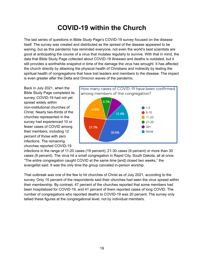## **COVID-19 within the Church**

The last series of questions in Bible Study Page's COVID-19 survey focused on the disease itself. The survey was created and distributed as the spread of the disease appeared to be waning, but as this pandemic has reminded everyone, not even the world's best scientists are good at anticipating the course of a virus that mutates regularly to survive. With that in mind, the data that Bible Study Page collected about COVID-19 illnesses and deaths is outdated, but it still provides a worthwhile snapshot in time of the damage the virus has wrought. It has affected the church directly by attacking the physical health of Christians and indirectly by testing the spiritual health of congregations that have lost leaders and members to the disease. The impact is even greater after the Delta and Omicron waves of the pandemic.

Back in July 2021, when the Bible Study Page completed its survey, COVID-19 had not yet spread widely within non-institutional churches of Christ. Nearly two-thirds of the churches represented in the survey had experienced 10 or fewer cases of COVID among their members, including 12 percent of those with zero infections. The remaining churches reported COVID-19



infections in the range of 11-20 cases (19 percent), 21-30 cases (9 percent) or more than 30 cases (9 percent). The virus hit a small congregation in Rapid City, South Dakota, all at once. "The entire congregation caught COVID at the same time [and] closed two weeks," the evangelist said. It was the only time the group canceled in-person worship.

That outbreak was one of the few to hit churches of Christ as of July 2021, according to the survey. Only 15 percent of the respondents said their churches had seen the virus spread within their membership. By contrast, 47 percent of the churches reported that some members had been hospitalized for COVID-19, and 41 percent of them reported cases of long COVID. The number of congregations who reported deaths to COVID-19 was 20 percent. The survey only tallied these figures at the congregational level, not by individual members.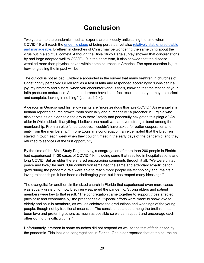#### **Conclusion**

Two years into the pandemic, medical experts are anxiously anticipating the time when COVID-19 will reach the [endemic](https://mashable.com/article/what-does-endemic-mean-covid) stage of being perpetual yet also relatively stable, [predictable](https://www.cnbc.com/2022/02/24/moderna-says-covid-is-entering-an-endemic-phase-but-annual-vaccines-will-be-needed.html) and [manageable.](https://www.cnbc.com/2022/02/24/moderna-says-covid-is-entering-an-endemic-phase-but-annual-vaccines-will-be-needed.html) Brethren in churches of Christ may be wondering the same thing about the virus but in a spiritual context. Although the Bible Study Page survey showed that congregations by and large adapted well to COVID-19 in the short term, it also showed that the disease wreaked more than physical havoc within some churches in America. The open question is just how longlasting the impact will be.

The outlook is not all bad. Evidence abounded in the survey that many brethren in churches of Christ rightly perceived COVID-19 as a test of faith and responded accordingly: "Consider it all joy, my brothers and sisters, when you encounter various trials, knowing that the testing of your faith produces endurance. And let endurance have its perfect result, so that you may be perfect and complete, lacking in nothing." (James 1:2-4).

A deacon in Georgia said his fellow saints are "more zealous than pre-COVID." An evangelist in Indiana reported church growth "both spiritually and numerically." A preacher in Virginia who also serves as an elder said the group there "safely and peacefully navigated this plague." An elder in Ohio added: "If anything, I believe one result was an even stronger bond among the membership. From an elder's perspective, I couldn't have asked for better cooperation and unity from the membership." In one Louisiana congregation, an elder noted that the brethren stayed in touch each week when they couldn't meet in the early days of the pandemic, and they returned to services at the first opportunity.

By the time of the Bible Study Page survey, a congregation of more than 200 people in Florida had experienced 11-20 cases of COVID-19, including some that resulted in hospitalizations and long COVID. But an elder there shared encouraging comments through it all. "We were united in peace and love," he said. "Our contribution remained the same and attendance/participation grew during the pandemic. We were able to reach more people via technology and [maintain] loving relationships. It has been a challenging year, but it has reaped many blessings."

The evangelist for another similar-sized church in Florida that experienced even more cases was equally grateful for how brethren weathered the pandemic. Strong elders and patient members were key to that result. "The congregation came together to support those affected physically and economically," the preacher said. "Special efforts were made to show love to elderly and shut-in members, as well as celebrate the graduations and weddings of the young people, though not by traditional means. … The consistent attitude among the brethren has been love and preferring others as much as possible so we can support and encourage each other during this difficult time."

Unfortunately, brethren in some churches did not respond as well to the test of faith posed by the pandemic. This included congregations in Florida. One elder reported that at the church he